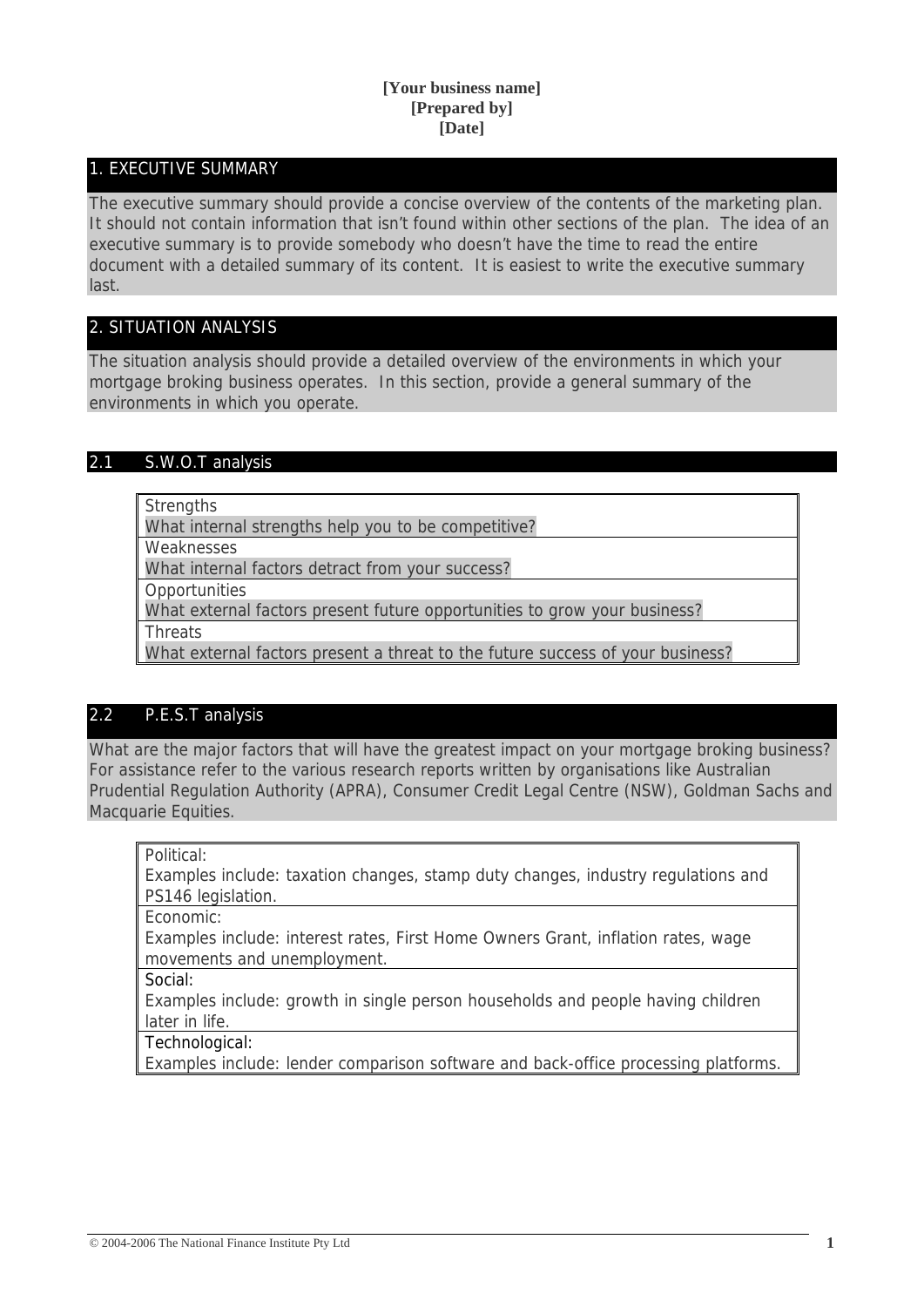## **[Your business name] [Prepared by] [Date]**

## 1. EXECUTIVE SUMMARY

The executive summary should provide a concise overview of the contents of the marketing plan. It should not contain information that isn't found within other sections of the plan. The idea of an executive summary is to provide somebody who doesn't have the time to read the entire document with a detailed summary of its content. It is easiest to write the executive summary last.

# 2. SITUATION ANALYSIS

The situation analysis should provide a detailed overview of the environments in which your mortgage broking business operates. In this section, provide a general summary of the environments in which you operate.

## 2.1 S.W.O.T analysis

**Strengths** 

What internal strengths help you to be competitive?

Weaknesses

What internal factors detract from your success?

**Opportunities** 

What external factors present future opportunities to grow your business?

**Threats** 

What external factors present a threat to the future success of your business?

# 2.2 P.E.S.T analysis

What are the major factors that will have the greatest impact on your mortgage broking business? For assistance refer to the various research reports written by organisations like Australian Prudential Regulation Authority (APRA), Consumer Credit Legal Centre (NSW), Goldman Sachs and Macquarie Equities.

Political:

Examples include: taxation changes, stamp duty changes, industry regulations and PS146 legislation.

Economic:

Examples include: interest rates, First Home Owners Grant, inflation rates, wage movements and unemployment.

Social:

Examples include: growth in single person households and people having children later in life.

Technological:

Examples include: lender comparison software and back-office processing platforms.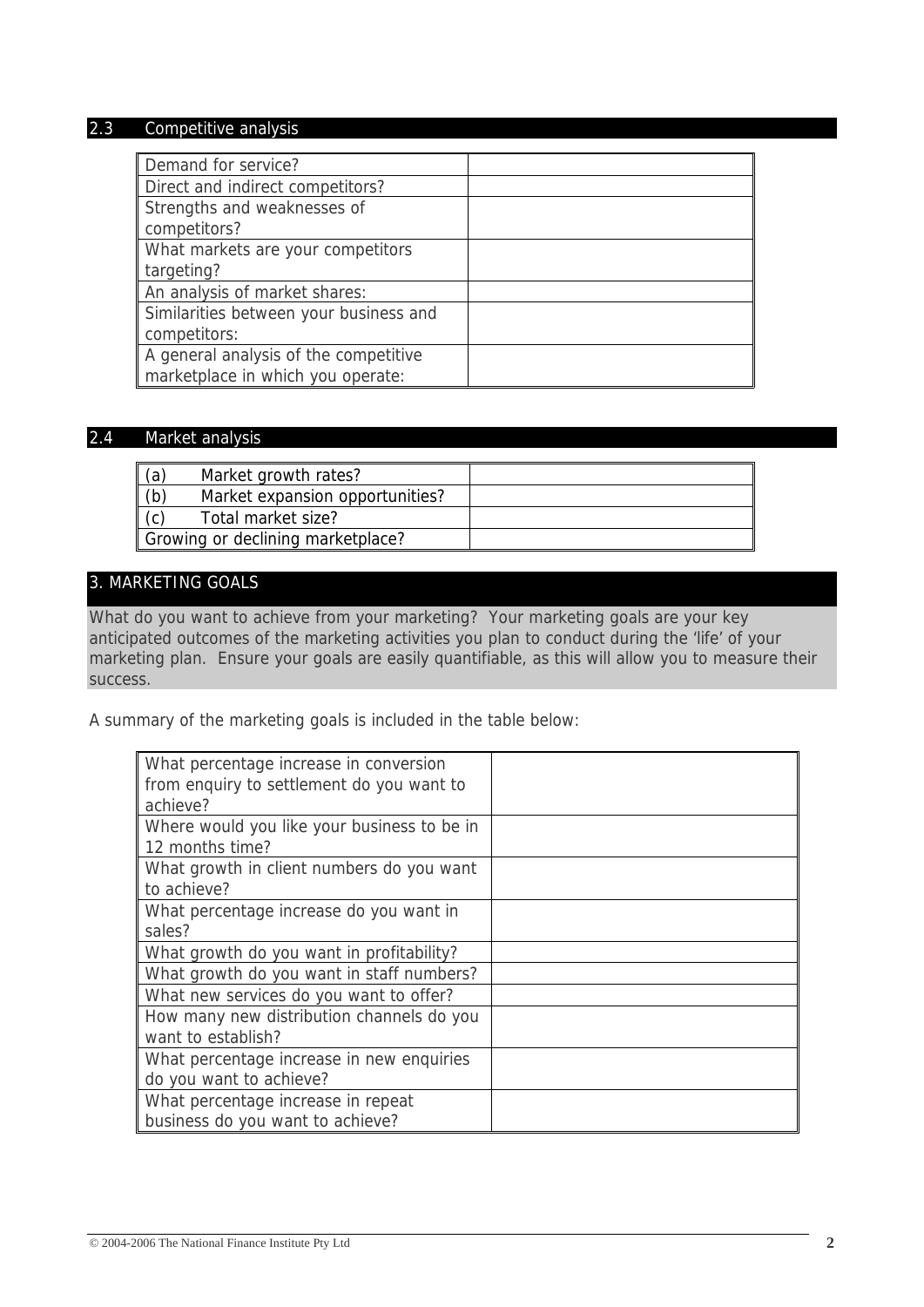## 2.3 Competitive analysis

| Demand for service?                    |  |
|----------------------------------------|--|
| Direct and indirect competitors?       |  |
| Strengths and weaknesses of            |  |
| competitors?                           |  |
| What markets are your competitors      |  |
| targeting?                             |  |
| An analysis of market shares:          |  |
| Similarities between your business and |  |
| competitors:                           |  |
| A general analysis of the competitive  |  |
| marketplace in which you operate:      |  |

## 2.4 Market analysis

| (a)                               | Market growth rates?            |  |
|-----------------------------------|---------------------------------|--|
| (b)                               | Market expansion opportunities? |  |
|                                   | Total market size?              |  |
| Growing or declining marketplace? |                                 |  |

# 3. MARKETING GOALS

What do you want to achieve from your marketing? Your marketing goals are your key anticipated outcomes of the marketing activities you plan to conduct during the 'life' of your marketing plan. Ensure your goals are easily quantifiable, as this will allow you to measure their success.

A summary of the marketing goals is included in the table below:

| What percentage increase in conversion      |  |
|---------------------------------------------|--|
| from enquiry to settlement do you want to   |  |
| achieve?                                    |  |
| Where would you like your business to be in |  |
| 12 months time?                             |  |
| What growth in client numbers do you want   |  |
| to achieve?                                 |  |
| What percentage increase do you want in     |  |
| sales?                                      |  |
| What growth do you want in profitability?   |  |
| What growth do you want in staff numbers?   |  |
| What new services do you want to offer?     |  |
| How many new distribution channels do you   |  |
| want to establish?                          |  |
| What percentage increase in new enquiries   |  |
| do you want to achieve?                     |  |
| What percentage increase in repeat          |  |
| business do you want to achieve?            |  |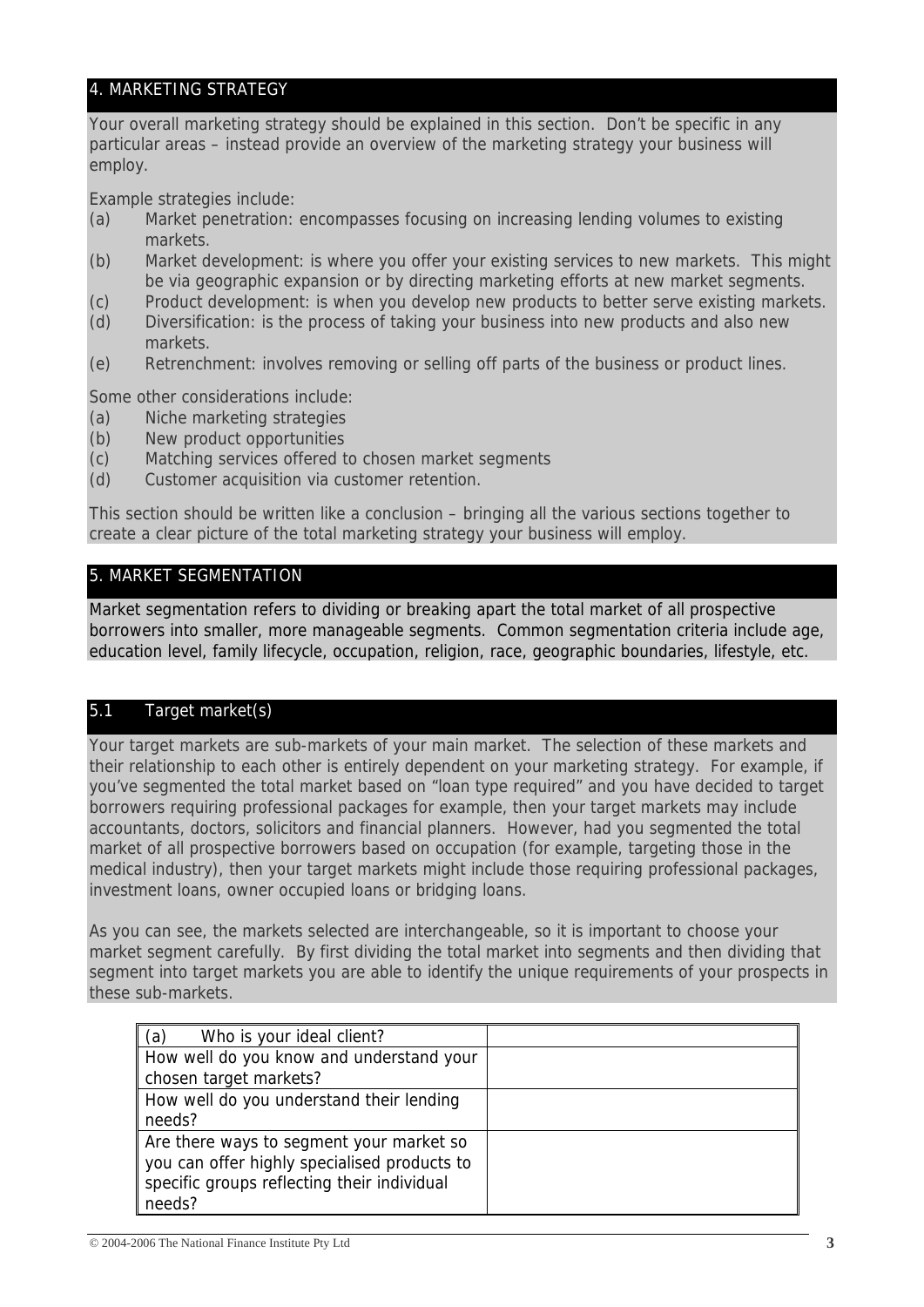# 4. MARKETING STRATEGY

Your overall marketing strategy should be explained in this section. Don't be specific in any particular areas – instead provide an overview of the marketing strategy your business will employ.

Example strategies include:

- (a) Market penetration: encompasses focusing on increasing lending volumes to existing markets.
- (b) Market development: is where you offer your existing services to new markets. This might be via geographic expansion or by directing marketing efforts at new market segments.
- (c) Product development: is when you develop new products to better serve existing markets.
- (d) Diversification: is the process of taking your business into new products and also new markets.
- (e) Retrenchment: involves removing or selling off parts of the business or product lines.

Some other considerations include:

- (a) Niche marketing strategies
- (b) New product opportunities
- (c) Matching services offered to chosen market segments
- (d) Customer acquisition via customer retention.

This section should be written like a conclusion – bringing all the various sections together to create a clear picture of the total marketing strategy your business will employ.

# 5. MARKET SEGMENTATION

Market segmentation refers to dividing or breaking apart the total market of all prospective borrowers into smaller, more manageable segments. Common segmentation criteria include age, education level, family lifecycle, occupation, religion, race, geographic boundaries, lifestyle, etc.

# 5.1 Target market(s)

Your target markets are sub-markets of your main market. The selection of these markets and their relationship to each other is entirely dependent on your marketing strategy. For example, if you've segmented the total market based on "loan type required" and you have decided to target borrowers requiring professional packages for example, then your target markets may include accountants, doctors, solicitors and financial planners. However, had you segmented the total market of all prospective borrowers based on occupation (for example, targeting those in the medical industry), then your target markets might include those requiring professional packages, investment loans, owner occupied loans or bridging loans.

As you can see, the markets selected are interchangeable, so it is important to choose your market segment carefully. By first dividing the total market into segments and then dividing that segment into target markets you are able to identify the unique requirements of your prospects in these sub-markets.

| (a)<br>Who is your ideal client?             |  |
|----------------------------------------------|--|
| How well do you know and understand your     |  |
| chosen target markets?                       |  |
| How well do you understand their lending     |  |
| needs?                                       |  |
| Are there ways to segment your market so     |  |
| you can offer highly specialised products to |  |
| specific groups reflecting their individual  |  |
| needs?                                       |  |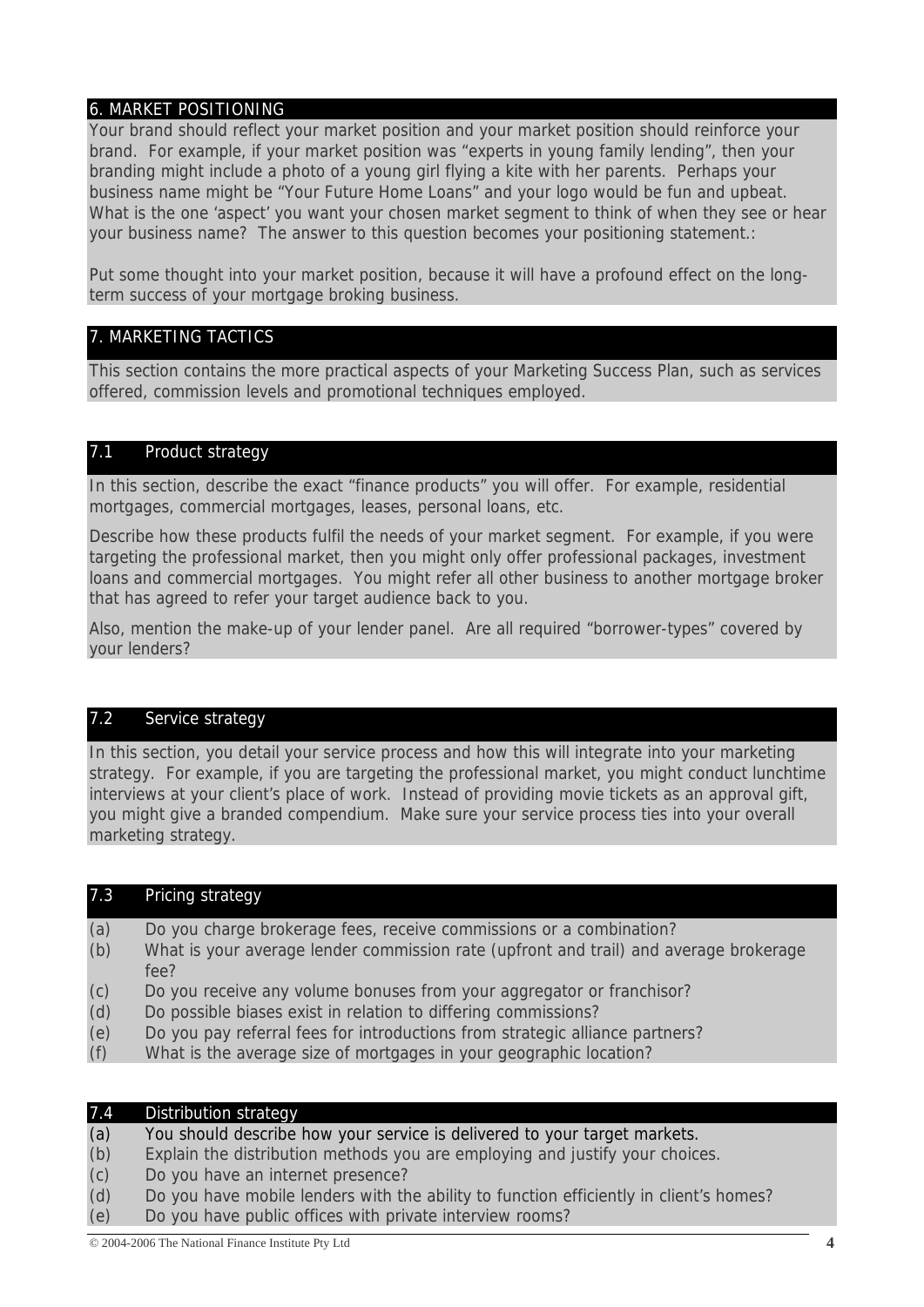# 6. MARKET POSITIONING

Your brand should reflect your market position and your market position should reinforce your brand. For example, if your market position was "experts in young family lending", then your branding might include a photo of a young girl flying a kite with her parents. Perhaps your business name might be "Your Future Home Loans" and your logo would be fun and upbeat. What is the one 'aspect' you want your chosen market segment to think of when they see or hear your business name? The answer to this question becomes your positioning statement.:

Put some thought into your market position, because it will have a profound effect on the longterm success of your mortgage broking business.

## 7. MARKETING TACTICS

This section contains the more practical aspects of your Marketing Success Plan, such as services offered, commission levels and promotional techniques employed.

## 7.1 Product strategy

In this section, describe the exact "finance products" you will offer. For example, residential mortgages, commercial mortgages, leases, personal loans, etc.

Describe how these products fulfil the needs of your market segment. For example, if you were targeting the professional market, then you might only offer professional packages, investment loans and commercial mortgages. You might refer all other business to another mortgage broker that has agreed to refer your target audience back to you.

Also, mention the make-up of your lender panel. Are all required "borrower-types" covered by your lenders?

## 7.2 Service strategy

In this section, you detail your service process and how this will integrate into your marketing strategy. For example, if you are targeting the professional market, you might conduct lunchtime interviews at your client's place of work. Instead of providing movie tickets as an approval gift, you might give a branded compendium. Make sure your service process ties into your overall marketing strategy.

## 7.3 Pricing strategy

- (a) Do you charge brokerage fees, receive commissions or a combination?
- (b) What is your average lender commission rate (upfront and trail) and average brokerage fee?
- (c) Do you receive any volume bonuses from your aggregator or franchisor?
- (d) Do possible biases exist in relation to differing commissions?
- (e) Do you pay referral fees for introductions from strategic alliance partners?
- (f) What is the average size of mortgages in your geographic location?

| 7.4 | Distribution strategy                                                                  |
|-----|----------------------------------------------------------------------------------------|
| (a) | You should describe how your service is delivered to your target markets.              |
| (b) | Explain the distribution methods you are employing and justify your choices.           |
| (c) | Do you have an internet presence?                                                      |
| (d) | Do you have mobile lenders with the ability to function efficiently in client's homes? |
| (e) | Do you have public offices with private interview rooms?                               |
|     |                                                                                        |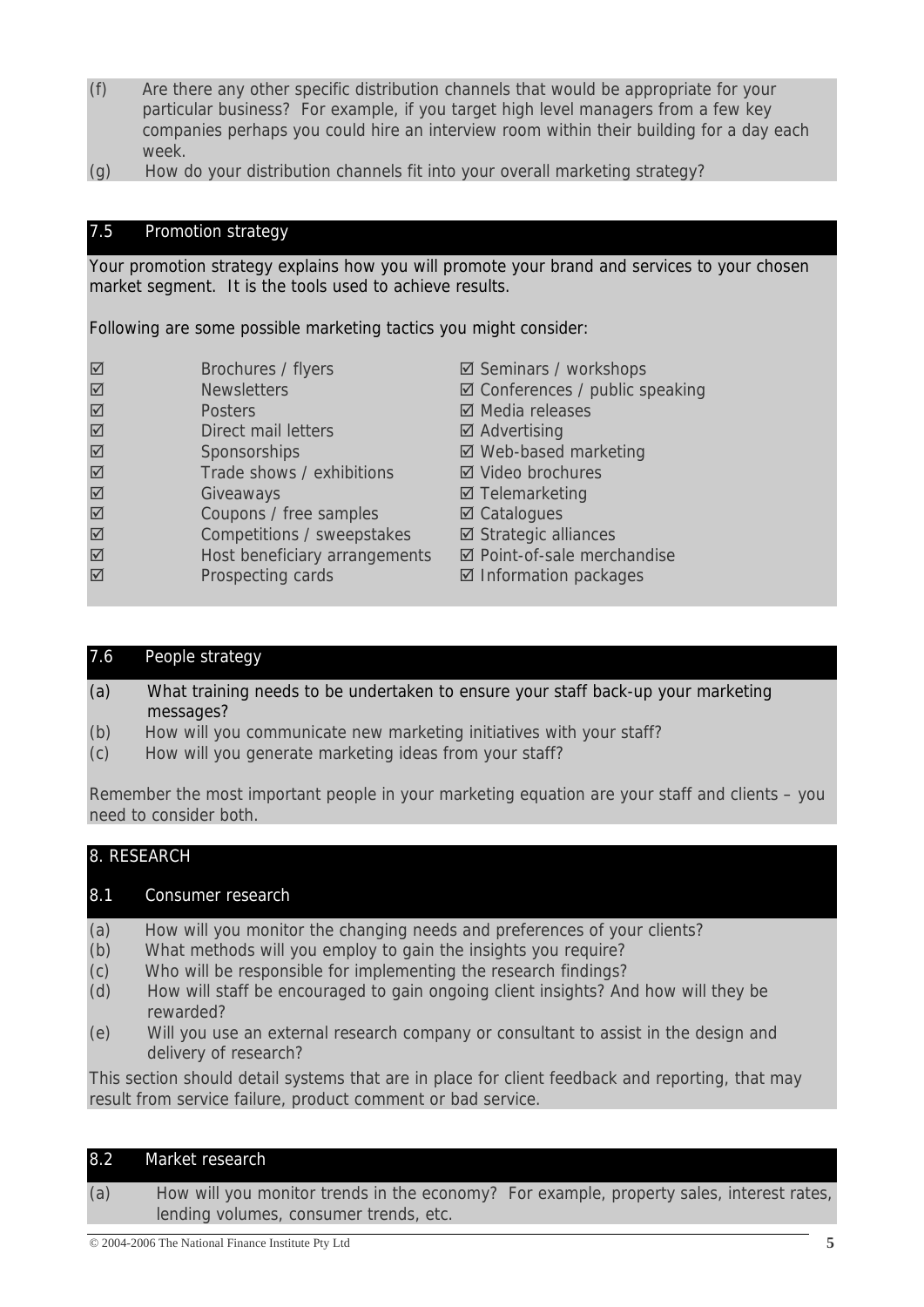- (f) Are there any other specific distribution channels that would be appropriate for your particular business? For example, if you target high level managers from a few key companies perhaps you could hire an interview room within their building for a day each week.
- (g) How do your distribution channels fit into your overall marketing strategy?

# 7.5 Promotion strategy

Your promotion strategy explains how you will promote your brand and services to your chosen market segment. It is the tools used to achieve results.

Following are some possible marketing tactics you might consider:

| $\boxed{\triangle}$    | Brochures / flyers            | ☑ Seminars / workshops                    |
|------------------------|-------------------------------|-------------------------------------------|
| $\overline{\boxtimes}$ | <b>Newsletters</b>            | $\boxtimes$ Conferences / public speaking |
| $\boxed{\triangle}$    | <b>Posters</b>                | ☑ Media releases                          |
| $\boxed{\triangle}$    | Direct mail letters           | $\boxtimes$ Advertising                   |
| $\boxed{\triangle}$    | Sponsorships                  | ☑ Web-based marketing                     |
| $\overline{\boxtimes}$ | Trade shows / exhibitions     | ☑ Video brochures                         |
| $\overline{\boxtimes}$ | Giveaways                     | $\boxtimes$ Telemarketing                 |
| $\boxed{\triangle}$    | Coupons / free samples        | $\boxtimes$ Catalogues                    |
| $\boxed{\text{M}}$     | Competitions / sweepstakes    | $\boxtimes$ Strategic alliances           |
| ☑                      | Host beneficiary arrangements | ☑ Point-of-sale merchandise               |
| $\overline{\boxtimes}$ | Prospecting cards             | $\boxtimes$ Information packages          |

## 7.6 People strategy

- (a) What training needs to be undertaken to ensure your staff back-up your marketing messages?
- (b) How will you communicate new marketing initiatives with your staff?
- (c) How will you generate marketing ideas from your staff?

Remember the most important people in your marketing equation are your staff and clients – you need to consider both.

# 8. RESEARCH

## 8.1 Consumer research

- (a) How will you monitor the changing needs and preferences of your clients?
- (b) What methods will you employ to gain the insights you require?
- (c) Who will be responsible for implementing the research findings?
- (d) How will staff be encouraged to gain ongoing client insights? And how will they be rewarded?
- (e) Will you use an external research company or consultant to assist in the design and delivery of research?

This section should detail systems that are in place for client feedback and reporting, that may result from service failure, product comment or bad service.

| 8.2 | Market research                                                                                                                    |
|-----|------------------------------------------------------------------------------------------------------------------------------------|
| (a) | How will you monitor trends in the economy? For example, property sales, interest rates,<br>lending volumes, consumer trends, etc. |